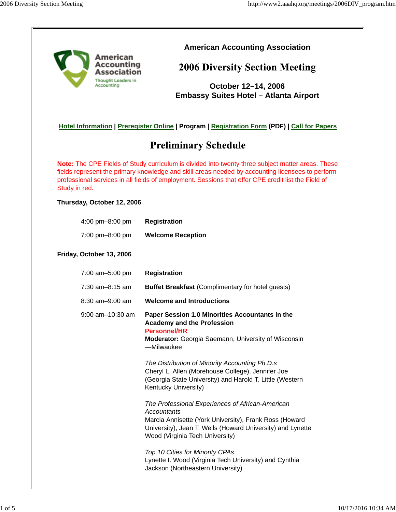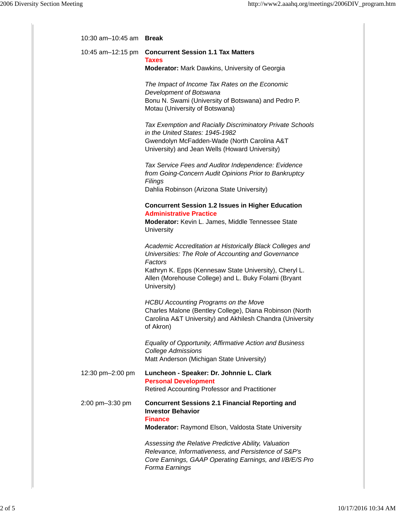| 10:30 am-10:45 am Break |                                                                                                                                                                                                                                                              |
|-------------------------|--------------------------------------------------------------------------------------------------------------------------------------------------------------------------------------------------------------------------------------------------------------|
| 10:45 am-12:15 pm       | <b>Concurrent Session 1.1 Tax Matters</b><br><b>Taxes</b><br><b>Moderator:</b> Mark Dawkins, University of Georgia                                                                                                                                           |
|                         | The Impact of Income Tax Rates on the Economic<br>Development of Botswana<br>Bonu N. Swami (University of Botswana) and Pedro P.<br>Motau (University of Botswana)                                                                                           |
|                         | Tax Exemption and Racially Discriminatory Private Schools<br>in the United States: 1945-1982<br>Gwendolyn McFadden-Wade (North Carolina A&T<br>University) and Jean Wells (Howard University)                                                                |
|                         | Tax Service Fees and Auditor Independence: Evidence<br>from Going-Concern Audit Opinions Prior to Bankruptcy<br>Filings<br>Dahlia Robinson (Arizona State University)                                                                                        |
|                         | <b>Concurrent Session 1.2 Issues in Higher Education</b><br><b>Administrative Practice</b><br>Moderator: Kevin L. James, Middle Tennessee State<br>University                                                                                                |
|                         | Academic Accreditation at Historically Black Colleges and<br>Universities: The Role of Accounting and Governance<br>Factors<br>Kathryn K. Epps (Kennesaw State University), Cheryl L.<br>Allen (Morehouse College) and L. Buky Folami (Bryant<br>University) |
|                         | <b>HCBU Accounting Programs on the Move</b><br>Charles Malone (Bentley College), Diana Robinson (North<br>Carolina A&T University) and Akhilesh Chandra (University<br>of Akron)                                                                             |
|                         | Equality of Opportunity, Affirmative Action and Business<br><b>College Admissions</b><br>Matt Anderson (Michigan State University)                                                                                                                           |
| 12:30 pm-2:00 pm        | Luncheon - Speaker: Dr. Johnnie L. Clark<br><b>Personal Development</b><br>Retired Accounting Professor and Practitioner                                                                                                                                     |
| 2:00 pm-3:30 pm         | <b>Concurrent Sessions 2.1 Financial Reporting and</b><br><b>Investor Behavior</b><br><b>Finance</b><br>Moderator: Raymond Elson, Valdosta State University                                                                                                  |
|                         | Assessing the Relative Predictive Ability, Valuation<br>Relevance, Informativeness, and Persistence of S&P's<br>Core Earnings, GAAP Operating Earnings, and I/B/E/S Pro<br>Forma Earnings                                                                    |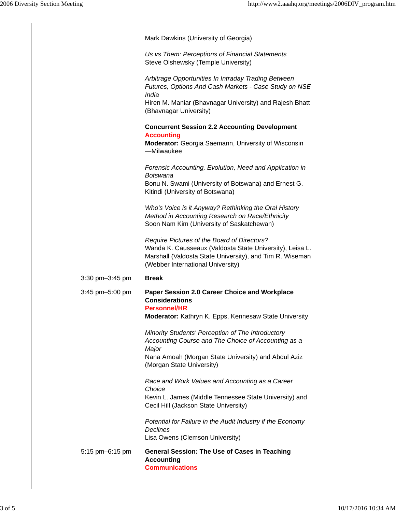|                 | Mark Dawkins (University of Georgia)                                                                                                                                                                       |
|-----------------|------------------------------------------------------------------------------------------------------------------------------------------------------------------------------------------------------------|
|                 | Us vs Them: Perceptions of Financial Statements<br>Steve Olshewsky (Temple University)                                                                                                                     |
|                 | Arbitrage Opportunities In Intraday Trading Between<br>Futures, Options And Cash Markets - Case Study on NSE<br>India<br>Hiren M. Maniar (Bhavnagar University) and Rajesh Bhatt<br>(Bhavnagar University) |
|                 | <b>Concurrent Session 2.2 Accounting Development</b><br><b>Accounting</b><br>Moderator: Georgia Saemann, University of Wisconsin<br>-Milwaukee                                                             |
|                 | Forensic Accounting, Evolution, Need and Application in<br>Botswana<br>Bonu N. Swami (University of Botswana) and Ernest G.<br>Kitindi (University of Botswana)                                            |
|                 | Who's Voice is it Anyway? Rethinking the Oral History<br>Method in Accounting Research on Race/Ethnicity<br>Soon Nam Kim (University of Saskatchewan)                                                      |
|                 | Require Pictures of the Board of Directors?<br>Wanda K. Causseaux (Valdosta State University), Leisa L.<br>Marshall (Valdosta State University), and Tim R. Wiseman<br>(Webber International University)   |
| 3:30 pm-3:45 pm | <b>Break</b>                                                                                                                                                                                               |
| 3:45 pm-5:00 pm | Paper Session 2.0 Career Choice and Workplace<br><b>Considerations</b><br><b>Personnel/HR</b><br>Moderator: Kathryn K. Epps, Kennesaw State University                                                     |
|                 | Minority Students' Perception of The Introductory<br>Accounting Course and The Choice of Accounting as a<br>Major<br>Nana Amoah (Morgan State University) and Abdul Aziz<br>(Morgan State University)      |
|                 | Race and Work Values and Accounting as a Career<br>Choice<br>Kevin L. James (Middle Tennessee State University) and<br>Cecil Hill (Jackson State University)                                               |
|                 | Potential for Failure in the Audit Industry if the Economy<br><b>Declines</b><br>Lisa Owens (Clemson University)                                                                                           |
| 5:15 pm-6:15 pm | <b>General Session: The Use of Cases in Teaching</b><br><b>Accounting</b><br><b>Communications</b>                                                                                                         |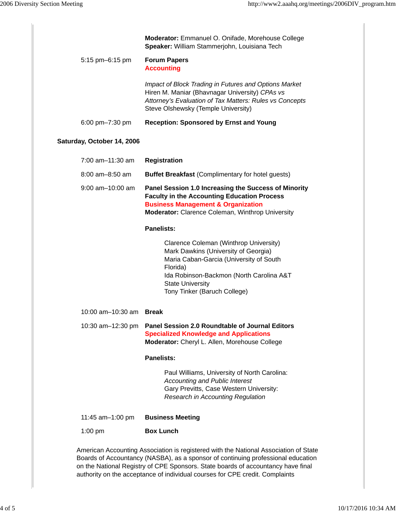|                                | Moderator: Emmanuel O. Onifade, Morehouse College<br>Speaker: William Stammerjohn, Louisiana Tech                                                                                                                                                                                                                                            |
|--------------------------------|----------------------------------------------------------------------------------------------------------------------------------------------------------------------------------------------------------------------------------------------------------------------------------------------------------------------------------------------|
| 5:15 pm-6:15 pm                | <b>Forum Papers</b><br><b>Accounting</b>                                                                                                                                                                                                                                                                                                     |
|                                | Impact of Block Trading in Futures and Options Market<br>Hiren M. Maniar (Bhavnagar University) CPAs vs<br>Attorney's Evaluation of Tax Matters: Rules vs Concepts<br>Steve Olshewsky (Temple University)                                                                                                                                    |
| 6:00 pm-7:30 pm                | <b>Reception: Sponsored by Ernst and Young</b>                                                                                                                                                                                                                                                                                               |
| Saturday, October 14, 2006     |                                                                                                                                                                                                                                                                                                                                              |
| 7:00 am-11:30 am               | <b>Registration</b>                                                                                                                                                                                                                                                                                                                          |
| $8:00$ am $-8:50$ am           | <b>Buffet Breakfast (Complimentary for hotel guests)</b>                                                                                                                                                                                                                                                                                     |
| $9:00$ am $-10:00$ am          | Panel Session 1.0 Increasing the Success of Minority<br><b>Faculty in the Accounting Education Process</b><br><b>Business Management &amp; Organization</b><br>Moderator: Clarence Coleman, Winthrop University                                                                                                                              |
|                                | <b>Panelists:</b>                                                                                                                                                                                                                                                                                                                            |
|                                | Clarence Coleman (Winthrop University)<br>Mark Dawkins (University of Georgia)<br>Maria Caban-Garcia (University of South<br>Florida)<br>Ida Robinson-Backmon (North Carolina A&T<br><b>State University</b><br>Tony Tinker (Baruch College)                                                                                                 |
| 10:00 am-10:30 am <b>Break</b> |                                                                                                                                                                                                                                                                                                                                              |
| 10:30 am-12:30 pm              | <b>Panel Session 2.0 Roundtable of Journal Editors</b><br><b>Specialized Knowledge and Applications</b><br>Moderator: Cheryl L. Allen, Morehouse College                                                                                                                                                                                     |
|                                | <b>Panelists:</b>                                                                                                                                                                                                                                                                                                                            |
|                                | Paul Williams, University of North Carolina:<br><b>Accounting and Public Interest</b><br>Gary Previtts, Case Western University:<br><b>Research in Accounting Regulation</b>                                                                                                                                                                 |
| 11:45 am-1:00 pm               | <b>Business Meeting</b>                                                                                                                                                                                                                                                                                                                      |
| $1:00$ pm                      | <b>Box Lunch</b>                                                                                                                                                                                                                                                                                                                             |
|                                | American Accounting Association is registered with the National Association of State<br>Boards of Accountancy (NASBA), as a sponsor of continuing professional education<br>on the National Registry of CPE Sponsors. State boards of accountancy have final<br>authority on the acceptance of individual courses for CPE credit. Complaints |